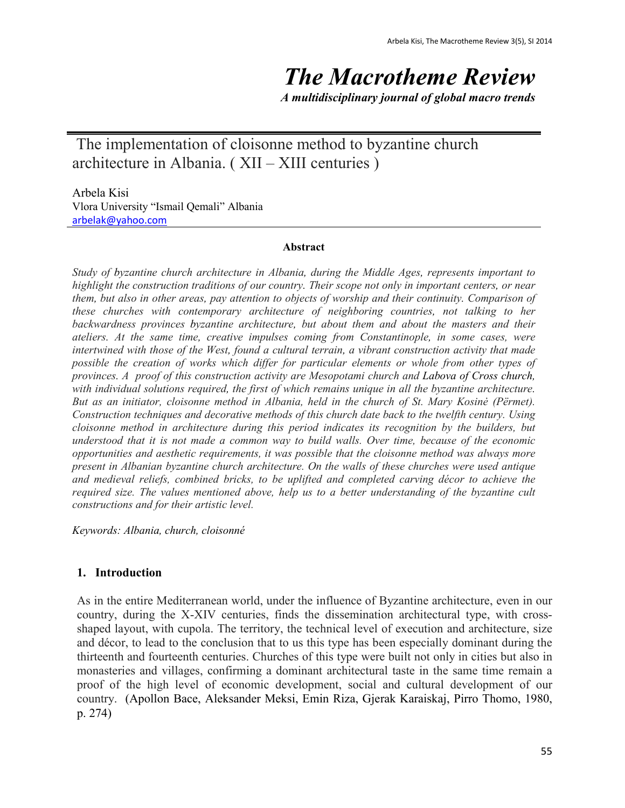# *The Macrotheme Review*

*A multidisciplinary journal of global macro trends*

The implementation of cloisonne method to byzantine church architecture in Albania. ( XII – XIII centuries )

Arbela Kisi Vlora University "Ismail Qemali" Albania [arbelak@yahoo.com](mailto:arbelak@yahoo.com)

#### **Abstract**

*Study of byzantine church architecture in Albania, during the Middle Ages, represents important to highlight the construction traditions of our country. Their scope not only in important centers, or near them, but also in other areas, pay attention to objects of worship and their continuity. Comparison of these churches with contemporary architecture of neighboring countries, not talking to her backwardness provinces byzantine architecture, but about them and about the masters and their ateliers. At the same time, creative impulses coming from Constantinople, in some cases, were intertwined with those of the West, found a cultural terrain, a vibrant construction activity that made possible the creation of works which differ for particular elements or whole from other types of provinces. A proof of this construction activity are Mesopotami church and Labova of Cross church, with individual solutions required, the first of which remains unique in all the byzantine architecture. But as an initiator, cloisonne method in Albania, held in the church of St. Mary Kosinė (Përmet). Construction techniques and decorative methods of this church date back to the twelfth century. Using cloisonne method in architecture during this period indicates its recognition by the builders, but understood that it is not made a common way to build walls. Over time, because of the economic opportunities and aesthetic requirements, it was possible that the cloisonne method was always more present in Albanian byzantine church architecture. On the walls of these churches were used antique and medieval reliefs, combined bricks, to be uplifted and completed carving décor to achieve the required size. The values mentioned above, help us to a better understanding of the byzantine cult constructions and for their artistic level.*

*Keywords: Albania, church, cloisonné* 

## **1. Introduction**

As in the entire Mediterranean world, under the influence of Byzantine architecture, even in our country, during the X-XIV centuries, finds the dissemination architectural type, with crossshaped layout, with cupola. The territory, the technical level of execution and architecture, size and décor, to lead to the conclusion that to us this type has been especially dominant during the thirteenth and fourteenth centuries. Churches of this type were built not only in cities but also in monasteries and villages, confirming a dominant architectural taste in the same time remain a proof of the high level of economic development, social and cultural development of our country. (Apollon Bace, Aleksander Meksi, Emin Riza, Gjerak Karaiskaj, Pirro Thomo, 1980, p. 274)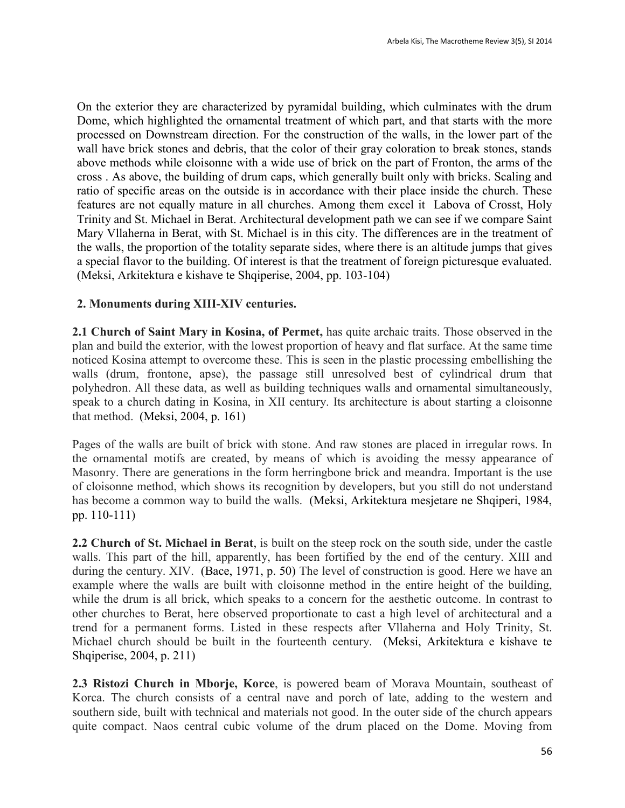On the exterior they are characterized by pyramidal building, which culminates with the drum Dome, which highlighted the ornamental treatment of which part, and that starts with the more processed on Downstream direction. For the construction of the walls, in the lower part of the wall have brick stones and debris, that the color of their gray coloration to break stones, stands above methods while cloisonne with a wide use of brick on the part of Fronton, the arms of the cross . As above, the building of drum caps, which generally built only with bricks. Scaling and ratio of specific areas on the outside is in accordance with their place inside the church. These features are not equally mature in all churches. Among them excel it Labova of Crosst, Holy Trinity and St. Michael in Berat. Architectural development path we can see if we compare Saint Mary Vllaherna in Berat, with St. Michael is in this city. The differences are in the treatment of the walls, the proportion of the totality separate sides, where there is an altitude jumps that gives a special flavor to the building. Of interest is that the treatment of foreign picturesque evaluated. (Meksi, Arkitektura e kishave te Shqiperise, 2004, pp. 103-104)

### **2. Monuments during XIII-XIV centuries.**

**2.1 Church of Saint Mary in Kosina, of Permet,** has quite archaic traits. Those observed in the plan and build the exterior, with the lowest proportion of heavy and flat surface. At the same time noticed Kosina attempt to overcome these. This is seen in the plastic processing embellishing the walls (drum, frontone, apse), the passage still unresolved best of cylindrical drum that polyhedron. All these data, as well as building techniques walls and ornamental simultaneously, speak to a church dating in Kosina, in XII century. Its architecture is about starting a cloisonne that method. (Meksi, 2004, p. 161)

Pages of the walls are built of brick with stone. And raw stones are placed in irregular rows. In the ornamental motifs are created, by means of which is avoiding the messy appearance of Masonry. There are generations in the form herringbone brick and meandra. Important is the use of cloisonne method, which shows its recognition by developers, but you still do not understand has become a common way to build the walls. (Meksi, Arkitektura mesjetare ne Shqiperi, 1984, pp. 110-111)

**2.2 Church of St. Michael in Berat**, is built on the steep rock on the south side, under the castle walls. This part of the hill, apparently, has been fortified by the end of the century. XIII and during the century. XIV. (Bace, 1971, p. 50) The level of construction is good. Here we have an example where the walls are built with cloisonne method in the entire height of the building, while the drum is all brick, which speaks to a concern for the aesthetic outcome. In contrast to other churches to Berat, here observed proportionate to cast a high level of architectural and a trend for a permanent forms. Listed in these respects after Vllaherna and Holy Trinity, St. Michael church should be built in the fourteenth century. (Meksi, Arkitektura e kishave te Shqiperise, 2004, p. 211)

**2.3 Ristozi Church in Mborje, Korce**, is powered beam of Morava Mountain, southeast of Korca. The church consists of a central nave and porch of late, adding to the western and southern side, built with technical and materials not good. In the outer side of the church appears quite compact. Naos central cubic volume of the drum placed on the Dome. Moving from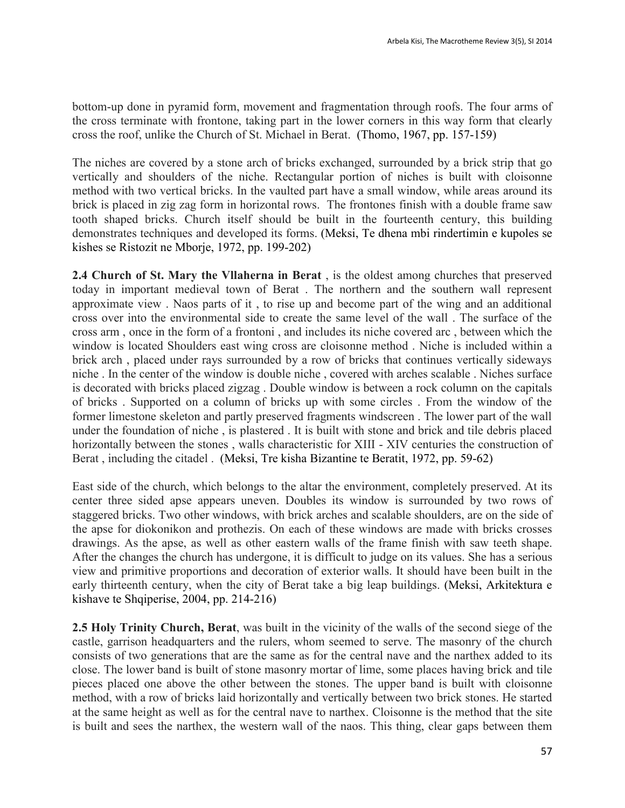bottom-up done in pyramid form, movement and fragmentation through roofs. The four arms of the cross terminate with frontone, taking part in the lower corners in this way form that clearly cross the roof, unlike the Church of St. Michael in Berat. (Thomo, 1967, pp. 157-159)

The niches are covered by a stone arch of bricks exchanged, surrounded by a brick strip that go vertically and shoulders of the niche. Rectangular portion of niches is built with cloisonne method with two vertical bricks. In the vaulted part have a small window, while areas around its brick is placed in zig zag form in horizontal rows. The frontones finish with a double frame saw tooth shaped bricks. Church itself should be built in the fourteenth century, this building demonstrates techniques and developed its forms. (Meksi, Te dhena mbi rindertimin e kupoles se kishes se Ristozit ne Mborje, 1972, pp. 199-202)

**2.4 Church of St. Mary the Vllaherna in Berat** , is the oldest among churches that preserved today in important medieval town of Berat . The northern and the southern wall represent approximate view . Naos parts of it , to rise up and become part of the wing and an additional cross over into the environmental side to create the same level of the wall . The surface of the cross arm , once in the form of a frontoni , and includes its niche covered arc , between which the window is located Shoulders east wing cross are cloisonne method . Niche is included within a brick arch , placed under rays surrounded by a row of bricks that continues vertically sideways niche . In the center of the window is double niche , covered with arches scalable . Niches surface is decorated with bricks placed zigzag . Double window is between a rock column on the capitals of bricks . Supported on a column of bricks up with some circles . From the window of the former limestone skeleton and partly preserved fragments windscreen . The lower part of the wall under the foundation of niche , is plastered . It is built with stone and brick and tile debris placed horizontally between the stones , walls characteristic for XIII - XIV centuries the construction of Berat , including the citadel . (Meksi, Tre kisha Bizantine te Beratit, 1972, pp. 59-62)

East side of the church, which belongs to the altar the environment, completely preserved. At its center three sided apse appears uneven. Doubles its window is surrounded by two rows of staggered bricks. Two other windows, with brick arches and scalable shoulders, are on the side of the apse for diokonikon and prothezis. On each of these windows are made with bricks crosses drawings. As the apse, as well as other eastern walls of the frame finish with saw teeth shape. After the changes the church has undergone, it is difficult to judge on its values. She has a serious view and primitive proportions and decoration of exterior walls. It should have been built in the early thirteenth century, when the city of Berat take a big leap buildings. (Meksi, Arkitektura e kishave te Shqiperise, 2004, pp. 214-216)

**2.5 Holy Trinity Church, Berat**, was built in the vicinity of the walls of the second siege of the castle, garrison headquarters and the rulers, whom seemed to serve. The masonry of the church consists of two generations that are the same as for the central nave and the narthex added to its close. The lower band is built of stone masonry mortar of lime, some places having brick and tile pieces placed one above the other between the stones. The upper band is built with cloisonne method, with a row of bricks laid horizontally and vertically between two brick stones. He started at the same height as well as for the central nave to narthex. Cloisonne is the method that the site is built and sees the narthex, the western wall of the naos. This thing, clear gaps between them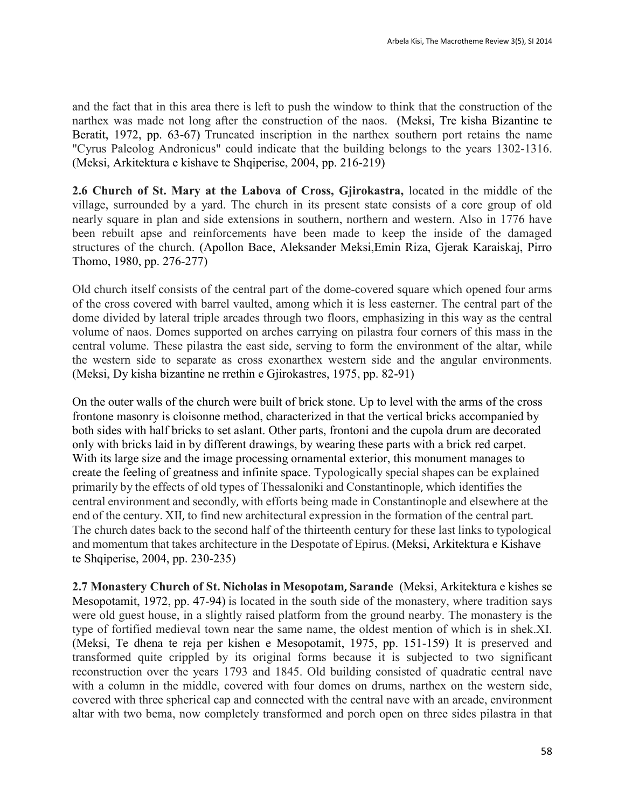and the fact that in this area there is left to push the window to think that the construction of the narthex was made not long after the construction of the naos. (Meksi, Tre kisha Bizantine te Beratit, 1972, pp. 63-67) Truncated inscription in the narthex southern port retains the name "Cyrus Paleolog Andronicus" could indicate that the building belongs to the years 1302-1316. (Meksi, Arkitektura e kishave te Shqiperise, 2004, pp. 216-219)

**2.6 Church of St. Mary at the Labova of Cross, Gjirokastra,** located in the middle of the village, surrounded by a yard. The church in its present state consists of a core group of old nearly square in plan and side extensions in southern, northern and western. Also in 1776 have been rebuilt apse and reinforcements have been made to keep the inside of the damaged structures of the church. (Apollon Bace, Aleksander Meksi,Emin Riza, Gjerak Karaiskaj, Pirro Thomo, 1980, pp. 276-277)

Old church itself consists of the central part of the dome-covered square which opened four arms of the cross covered with barrel vaulted, among which it is less easterner. The central part of the dome divided by lateral triple arcades through two floors, emphasizing in this way as the central volume of naos. Domes supported on arches carrying on pilastra four corners of this mass in the central volume. These pilastra the east side, serving to form the environment of the altar, while the western side to separate as cross exonarthex western side and the angular environments. (Meksi, Dy kisha bizantine ne rrethin e Gjirokastres, 1975, pp. 82-91)

On the outer walls of the church were built of brick stone. Up to level with the arms of the cross frontone masonry is cloisonne method, characterized in that the vertical bricks accompanied by both sides with half bricks to set aslant. Other parts, frontoni and the cupola drum are decorated only with bricks laid in by different drawings, by wearing these parts with a brick red carpet. With its large size and the image processing ornamental exterior, this monument manages to create the feeling of greatness and infinite space. Typologically special shapes can be explained primarily by the effects of old types of Thessaloniki and Constantinople, which identifies the central environment and secondly, with efforts being made in Constantinople and elsewhere at the end of the century. XII, to find new architectural expression in the formation of the central part. The church dates back to the second half of the thirteenth century for these last links to typological and momentum that takes architecture in the Despotate of Epirus. (Meksi, Arkitektura e Kishave te Shqiperise, 2004, pp. 230-235)

**2.7 Monastery Church of St. Nicholas in Mesopotam, Sarande** (Meksi, Arkitektura e kishes se Mesopotamit, 1972, pp. 47-94) is located in the south side of the monastery, where tradition says were old guest house, in a slightly raised platform from the ground nearby. The monastery is the type of fortified medieval town near the same name, the oldest mention of which is in shek.XI. (Meksi, Te dhena te reja per kishen e Mesopotamit, 1975, pp. 151-159) It is preserved and transformed quite crippled by its original forms because it is subjected to two significant reconstruction over the years 1793 and 1845. Old building consisted of quadratic central nave with a column in the middle, covered with four domes on drums, narthex on the western side, covered with three spherical cap and connected with the central nave with an arcade, environment altar with two bema, now completely transformed and porch open on three sides pilastra in that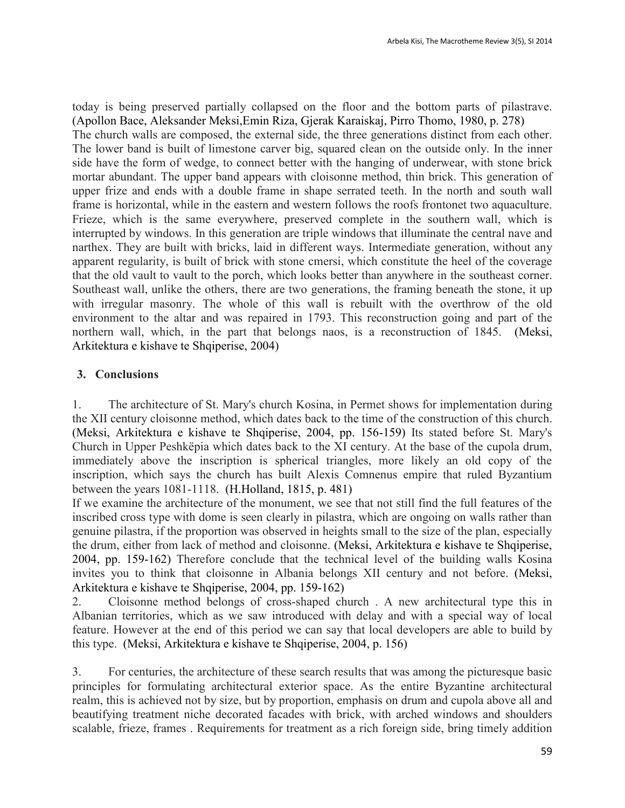today is being preserved partially collapsed on the floor and the bottom parts of pilastrave. (Apollon Bace, Aleksander Meksi,Emin Riza, Gjerak Karaiskaj, Pirro Thomo, 1980, p. 278) The church walls are composed, the external side, the three generations distinct from each other. The lower band is built of limestone carver big, squared clean on the outside only. In the inner side have the form of wedge, to connect better with the hanging of underwear, with stone brick mortar abundant. The upper band appears with cloisonne method, thin brick. This generation of upper frize and ends with a double frame in shape serrated teeth. In the north and south wall frame is horizontal, while in the eastern and western follows the roofs frontonet two aquaculture. Frieze, which is the same everywhere, preserved complete in the southern wall, which is interrupted by windows. In this generation are triple windows that illuminate the central nave and narthex. They are built with bricks, laid in different ways. Intermediate generation, without any apparent regularity, is built of brick with stone cmersi, which constitute the heel of the coverage that the old vault to vault to the porch, which looks better than anywhere in the southeast corner. Southeast wall, unlike the others, there are two generations, the framing beneath the stone, it up with irregular masonry. The whole of this wall is rebuilt with the overthrow of the old environment to the altar and was repaired in 1793. This reconstruction going and part of the northern wall, which, in the part that belongs naos, is a reconstruction of 1845. (Meksi, Arkitektura e kishave te Shqiperise, 2004)

## **3. Conclusions**

1. The architecture of St. Mary's church Kosina, in Permet shows for implementation during the XII century cloisonne method, which dates back to the time of the construction of this church. (Meksi, Arkitektura e kishave te Shqiperise, 2004, pp. 156-159) Its stated before St. Mary's Church in Upper Peshkëpia which dates back to the XI century. At the base of the cupola drum, immediately above the inscription is spherical triangles, more likely an old copy of the inscription, which says the church has built Alexis Comnenus empire that ruled Byzantium between the years 1081-1118. (H.Holland, 1815, p. 481)

If we examine the architecture of the monument, we see that not still find the full features of the inscribed cross type with dome is seen clearly in pilastra, which are ongoing on walls rather than genuine pilastra, if the proportion was observed in heights small to the size of the plan, especially the drum, either from lack of method and cloisonne. (Meksi, Arkitektura e kishave te Shqiperise, 2004, pp. 159-162) Therefore conclude that the technical level of the building walls Kosina invites you to think that cloisonne in Albania belongs XII century and not before. (Meksi, Arkitektura e kishave te Shqiperise, 2004, pp. 159-162)

2. Cloisonne method belongs of cross-shaped church . A new architectural type this in Albanian territories, which as we saw introduced with delay and with a special way of local feature. However at the end of this period we can say that local developers are able to build by this type. (Meksi, Arkitektura e kishave te Shqiperise, 2004, p. 156)

3. For centuries, the architecture of these search results that was among the picturesque basic principles for formulating architectural exterior space. As the entire Byzantine architectural realm, this is achieved not by size, but by proportion, emphasis on drum and cupola above all and beautifying treatment niche decorated facades with brick, with arched windows and shoulders scalable, frieze, frames . Requirements for treatment as a rich foreign side, bring timely addition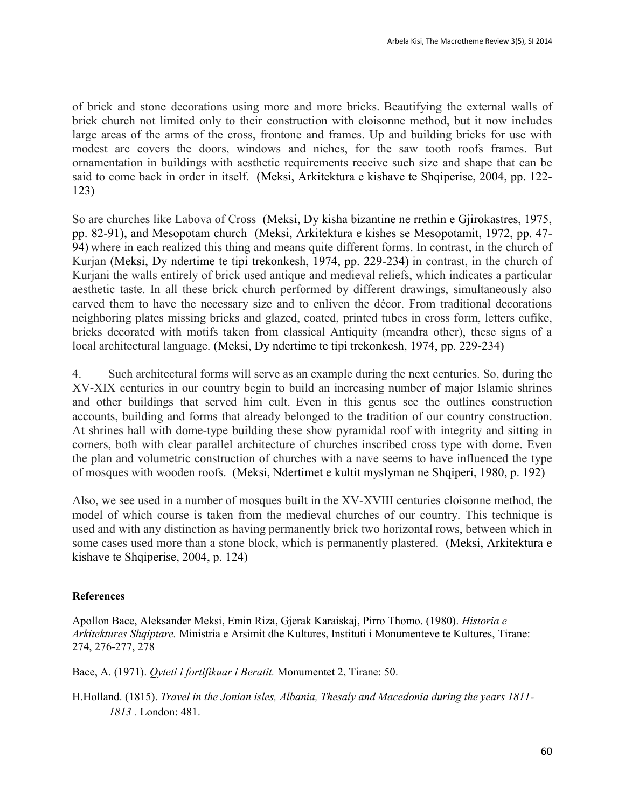of brick and stone decorations using more and more bricks. Beautifying the external walls of brick church not limited only to their construction with cloisonne method, but it now includes large areas of the arms of the cross, frontone and frames. Up and building bricks for use with modest arc covers the doors, windows and niches, for the saw tooth roofs frames. But ornamentation in buildings with aesthetic requirements receive such size and shape that can be said to come back in order in itself. (Meksi, Arkitektura e kishave te Shqiperise, 2004, pp. 122-123)

So are churches like Labova of Cross (Meksi, Dy kisha bizantine ne rrethin e Gjirokastres, 1975, pp. 82-91), and Mesopotam church (Meksi, Arkitektura e kishes se Mesopotamit, 1972, pp. 47- 94) where in each realized this thing and means quite different forms. In contrast, in the church of Kurjan (Meksi, Dy ndertime te tipi trekonkesh, 1974, pp. 229-234) in contrast, in the church of Kurjani the walls entirely of brick used antique and medieval reliefs, which indicates a particular aesthetic taste. In all these brick church performed by different drawings, simultaneously also carved them to have the necessary size and to enliven the décor. From traditional decorations neighboring plates missing bricks and glazed, coated, printed tubes in cross form, letters cufike, bricks decorated with motifs taken from classical Antiquity (meandra other), these signs of a local architectural language. (Meksi, Dy ndertime te tipi trekonkesh, 1974, pp. 229-234)

4. Such architectural forms will serve as an example during the next centuries. So, during the XV-XIX centuries in our country begin to build an increasing number of major Islamic shrines and other buildings that served him cult. Even in this genus see the outlines construction accounts, building and forms that already belonged to the tradition of our country construction. At shrines hall with dome-type building these show pyramidal roof with integrity and sitting in corners, both with clear parallel architecture of churches inscribed cross type with dome. Even the plan and volumetric construction of churches with a nave seems to have influenced the type of mosques with wooden roofs. (Meksi, Ndertimet e kultit myslyman ne Shqiperi, 1980, p. 192)

Also, we see used in a number of mosques built in the XV-XVIII centuries cloisonne method, the model of which course is taken from the medieval churches of our country. This technique is used and with any distinction as having permanently brick two horizontal rows, between which in some cases used more than a stone block, which is permanently plastered. (Meksi, Arkitektura e kishave te Shqiperise, 2004, p. 124)

#### **References**

Apollon Bace, Aleksander Meksi, Emin Riza, Gjerak Karaiskaj, Pirro Thomo. (1980). *Historia e Arkitektures Shqiptare.* Ministria e Arsimit dhe Kultures, Instituti i Monumenteve te Kultures, Tirane: 274, 276-277, 278

Bace, A. (1971). *Qyteti i fortifikuar i Beratit.* Monumentet 2, Tirane: 50.

H.Holland. (1815). *Travel in the Jonian isles, Albania, Thesaly and Macedonia during the years 1811- 1813 .* London: 481.